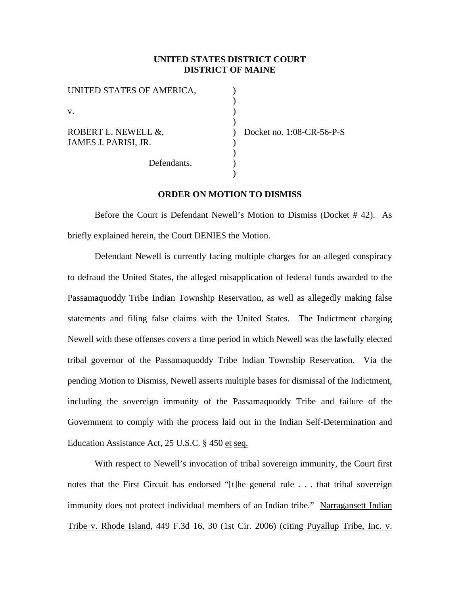#### **UNITED STATES DISTRICT COURT DISTRICT OF MAINE**

) ) ) )  $\overline{)}$ ) ) ) )

| UNITED STATES OF AMERICA,                   |
|---------------------------------------------|
| V.                                          |
| ROBERT L. NEWELL &,<br>JAMES J. PARISI, JR. |
| Defendants.                                 |

Docket no. 1:08-CR-56-P-S

### **ORDER ON MOTION TO DISMISS**

Before the Court is Defendant Newell's Motion to Dismiss (Docket # 42). As briefly explained herein, the Court DENIES the Motion.

Defendant Newell is currently facing multiple charges for an alleged conspiracy to defraud the United States, the alleged misapplication of federal funds awarded to the Passamaquoddy Tribe Indian Township Reservation, as well as allegedly making false statements and filing false claims with the United States. The Indictment charging Newell with these offenses covers a time period in which Newell was the lawfully elected tribal governor of the Passamaquoddy Tribe Indian Township Reservation. Via the pending Motion to Dismiss, Newell asserts multiple bases for dismissal of the Indictment, including the sovereign immunity of the Passamaquoddy Tribe and failure of the Government to comply with the process laid out in the Indian Self-Determination and Education Assistance Act, 25 U.S.C. § 450 et seq.

With respect to Newell's invocation of tribal sovereign immunity, the Court first notes that the First Circuit has endorsed "[t]he general rule . . . that tribal sovereign immunity does not protect individual members of an Indian tribe." Narragansett Indian Tribe v. Rhode Island, 449 F.3d 16, 30 (1st Cir. 2006) (citing Puyallup Tribe, Inc. v.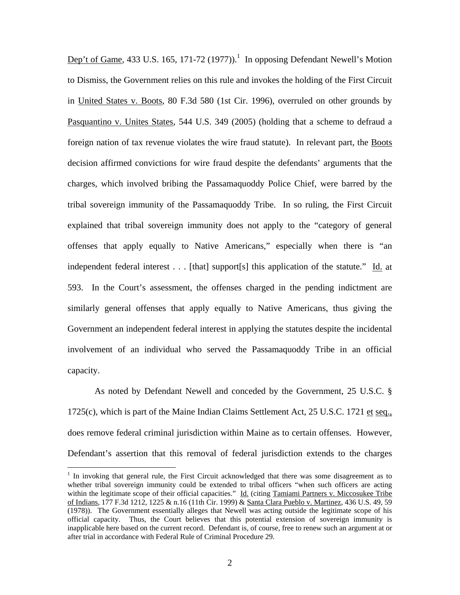Dep't of Game, 433 U.S. 165, 171-72 (1977)).<sup>1</sup> In opposing Defendant Newell's Motion to Dismiss, the Government relies on this rule and invokes the holding of the First Circuit in United States v. Boots, 80 F.3d 580 (1st Cir. 1996), overruled on other grounds by Pasquantino v. Unites States, 544 U.S. 349 (2005) (holding that a scheme to defraud a foreign nation of tax revenue violates the wire fraud statute). In relevant part, the Boots decision affirmed convictions for wire fraud despite the defendants' arguments that the charges, which involved bribing the Passamaquoddy Police Chief, were barred by the tribal sovereign immunity of the Passamaquoddy Tribe. In so ruling, the First Circuit explained that tribal sovereign immunity does not apply to the "category of general offenses that apply equally to Native Americans," especially when there is "an independent federal interest . . . [that] support[s] this application of the statute." Id. at 593. In the Court's assessment, the offenses charged in the pending indictment are similarly general offenses that apply equally to Native Americans, thus giving the Government an independent federal interest in applying the statutes despite the incidental involvement of an individual who served the Passamaquoddy Tribe in an official capacity.

As noted by Defendant Newell and conceded by the Government, 25 U.S.C. § 1725(c), which is part of the Maine Indian Claims Settlement Act, 25 U.S.C. 1721 et seq., does remove federal criminal jurisdiction within Maine as to certain offenses. However, Defendant's assertion that this removal of federal jurisdiction extends to the charges

1

<sup>&</sup>lt;sup>1</sup> In invoking that general rule, the First Circuit acknowledged that there was some disagreement as to whether tribal sovereign immunity could be extended to tribal officers "when such officers are acting within the legitimate scope of their official capacities." Id. (citing Tamiami Partners v. Miccosukee Tribe of Indians, 177 F.3d 1212, 1225 & n.16 (11th Cir. 1999) & Santa Clara Pueblo v. Martinez, 436 U.S. 49, 59 (1978)). The Government essentially alleges that Newell was acting outside the legitimate scope of his official capacity. Thus, the Court believes that this potential extension of sovereign immunity is inapplicable here based on the current record. Defendant is, of course, free to renew such an argument at or after trial in accordance with Federal Rule of Criminal Procedure 29.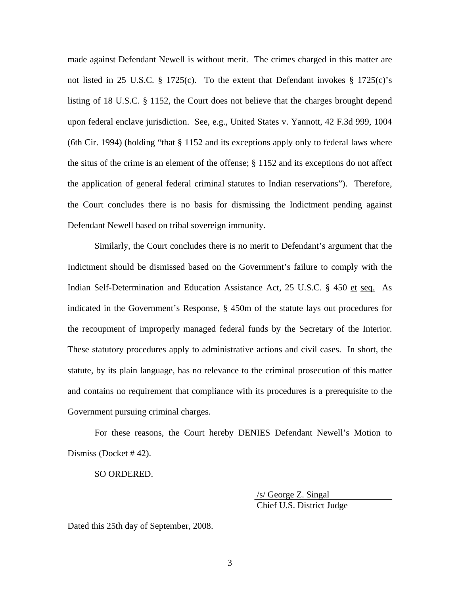made against Defendant Newell is without merit. The crimes charged in this matter are not listed in 25 U.S.C. § 1725(c). To the extent that Defendant invokes § 1725(c)'s listing of 18 U.S.C. § 1152, the Court does not believe that the charges brought depend upon federal enclave jurisdiction. See, e.g., United States v. Yannott, 42 F.3d 999, 1004 (6th Cir. 1994) (holding "that § 1152 and its exceptions apply only to federal laws where the situs of the crime is an element of the offense; § 1152 and its exceptions do not affect the application of general federal criminal statutes to Indian reservations"). Therefore, the Court concludes there is no basis for dismissing the Indictment pending against Defendant Newell based on tribal sovereign immunity.

Similarly, the Court concludes there is no merit to Defendant's argument that the Indictment should be dismissed based on the Government's failure to comply with the Indian Self-Determination and Education Assistance Act, 25 U.S.C. § 450 et seq. As indicated in the Government's Response, § 450m of the statute lays out procedures for the recoupment of improperly managed federal funds by the Secretary of the Interior. These statutory procedures apply to administrative actions and civil cases. In short, the statute, by its plain language, has no relevance to the criminal prosecution of this matter and contains no requirement that compliance with its procedures is a prerequisite to the Government pursuing criminal charges.

For these reasons, the Court hereby DENIES Defendant Newell's Motion to Dismiss (Docket # 42).

SO ORDERED.

 /s/ George Z. Singal Chief U.S. District Judge

Dated this 25th day of September, 2008.

3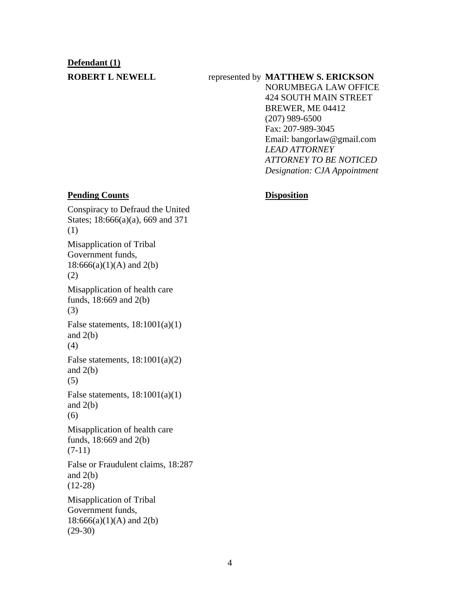# **Defendant (1)**

# **ROBERT L NEWELL** represented by **MATTHEW S. ERICKSON**

NORUMBEGA LAW OFFICE 424 SOUTH MAIN STREET BREWER, ME 04412 (207) 989-6500 Fax: 207-989-3045 Email: bangorlaw@gmail.com *LEAD ATTORNEY ATTORNEY TO BE NOTICED Designation: CJA Appointment*

### **Pending Counts Disposition**

Conspiracy to Defraud the United States; 18:666(a)(a), 669 and 371 (1) Misapplication of Tribal Government funds,  $18:666(a)(1)(A)$  and  $2(b)$ (2) Misapplication of health care funds, 18:669 and 2(b) (3) False statements,  $18:1001(a)(1)$ and  $2(b)$ (4) False statements,  $18:1001(a)(2)$ and  $2(b)$ (5) False statements,  $18:1001(a)(1)$ and  $2(b)$ (6) Misapplication of health care funds, 18:669 and 2(b) (7-11) False or Fraudulent claims, 18:287 and  $2(b)$ (12-28) Misapplication of Tribal Government funds,  $18:666(a)(1)(A)$  and  $2(b)$ (29-30)